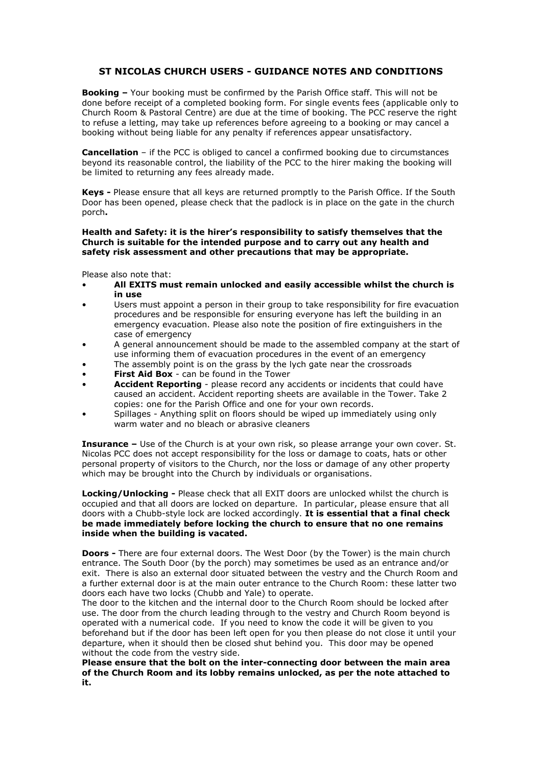## **ST NICOLAS CHURCH USERS - GUIDANCE NOTES AND CONDITIONS**

**Booking –** Your booking must be confirmed by the Parish Office staff. This will not be done before receipt of a completed booking form. For single events fees (applicable only to Church Room & Pastoral Centre) are due at the time of booking. The PCC reserve the right to refuse a letting, may take up references before agreeing to a booking or may cancel a booking without being liable for any penalty if references appear unsatisfactory.

**Cancellation** – if the PCC is obliged to cancel a confirmed booking due to circumstances beyond its reasonable control, the liability of the PCC to the hirer making the booking will be limited to returning any fees already made.

**Keys -** Please ensure that all keys are returned promptly to the Parish Office. If the South Door has been opened, please check that the padlock is in place on the gate in the church porch**.**

## **Health and Safety: it is the hirer's responsibility to satisfy themselves that the Church is suitable for the intended purpose and to carry out any health and safety risk assessment and other precautions that may be appropriate.**

Please also note that:

- **All EXITS must remain unlocked and easily accessible whilst the church is in use**
- Users must appoint a person in their group to take responsibility for fire evacuation procedures and be responsible for ensuring everyone has left the building in an emergency evacuation. Please also note the position of fire extinguishers in the case of emergency
- A general announcement should be made to the assembled company at the start of use informing them of evacuation procedures in the event of an emergency
- The assembly point is on the grass by the lych gate near the crossroads
- **First Aid Box** can be found in the Tower
- **Accident Reporting**  please record any accidents or incidents that could have caused an accident. Accident reporting sheets are available in the Tower. Take 2 copies: one for the Parish Office and one for your own records.
- Spillages Anything split on floors should be wiped up immediately using only warm water and no bleach or abrasive cleaners

**Insurance –** Use of the Church is at your own risk, so please arrange your own cover. St. Nicolas PCC does not accept responsibility for the loss or damage to coats, hats or other personal property of visitors to the Church, nor the loss or damage of any other property which may be brought into the Church by individuals or organisations.

**Locking/Unlocking -** Please check that all EXIT doors are unlocked whilst the church is occupied and that all doors are locked on departure. In particular, please ensure that all doors with a Chubb-style lock are locked accordingly. **It is essential that a final check be made immediately before locking the church to ensure that no one remains inside when the building is vacated.**

**Doors -** There are four external doors. The West Door (by the Tower) is the main church entrance. The South Door (by the porch) may sometimes be used as an entrance and/or exit. There is also an external door situated between the vestry and the Church Room and a further external door is at the main outer entrance to the Church Room: these latter two doors each have two locks (Chubb and Yale) to operate.

The door to the kitchen and the internal door to the Church Room should be locked after use. The door from the church leading through to the vestry and Church Room beyond is operated with a numerical code. If you need to know the code it will be given to you beforehand but if the door has been left open for you then please do not close it until your departure, when it should then be closed shut behind you. This door may be opened without the code from the vestry side.

**Please ensure that the bolt on the inter-connecting door between the main area of the Church Room and its lobby remains unlocked, as per the note attached to it.**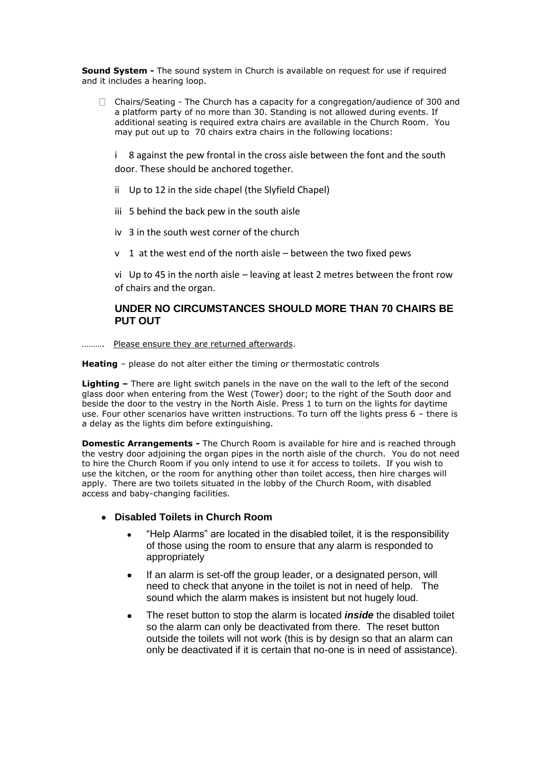**Sound System -** The sound system in Church is available on request for use if required and it includes a hearing loop.

 $\Box$  Chairs/Seating - The Church has a capacity for a congregation/audience of 300 and a platform party of no more than 30. Standing is not allowed during events. If additional seating is required extra chairs are available in the Church Room. You may put out up to 70 chairs extra chairs in the following locations:

i 8 against the pew frontal in the cross aisle between the font and the south door. These should be anchored together.

- ii Up to 12 in the side chapel (the Slyfield Chapel)
- iii 5 behind the back pew in the south aisle
- iv 3 in the south west corner of the church
- v 1 at the west end of the north aisle between the two fixed pews

vi Up to 45 in the north aisle – leaving at least 2 metres between the front row of chairs and the organ.

## **UNDER NO CIRCUMSTANCES SHOULD MORE THAN 70 CHAIRS BE PUT OUT**

………. Please ensure they are returned afterwards.

**Heating** – please do not alter either the timing or thermostatic controls

**Lighting –** There are light switch panels in the nave on the wall to the left of the second glass door when entering from the West (Tower) door; to the right of the South door and beside the door to the vestry in the North Aisle. Press 1 to turn on the lights for daytime use. Four other scenarios have written instructions. To turn off the lights press 6 – there is a delay as the lights dim before extinguishing.

**Domestic Arrangements -** The Church Room is available for hire and is reached through the vestry door adjoining the organ pipes in the north aisle of the church. You do not need to hire the Church Room if you only intend to use it for access to toilets. If you wish to use the kitchen, or the room for anything other than toilet access, then hire charges will apply. There are two toilets situated in the lobby of the Church Room, with disabled access and baby-changing facilities.

## **Disabled Toilets in Church Room**

- "Help Alarms" are located in the disabled toilet, it is the responsibility of those using the room to ensure that any alarm is responded to appropriately
- If an alarm is set-off the group leader, or a designated person, will need to check that anyone in the toilet is not in need of help. The sound which the alarm makes is insistent but not hugely loud.
- The reset button to stop the alarm is located *inside* the disabled toilet so the alarm can only be deactivated from there. The reset button outside the toilets will not work (this is by design so that an alarm can only be deactivated if it is certain that no-one is in need of assistance).